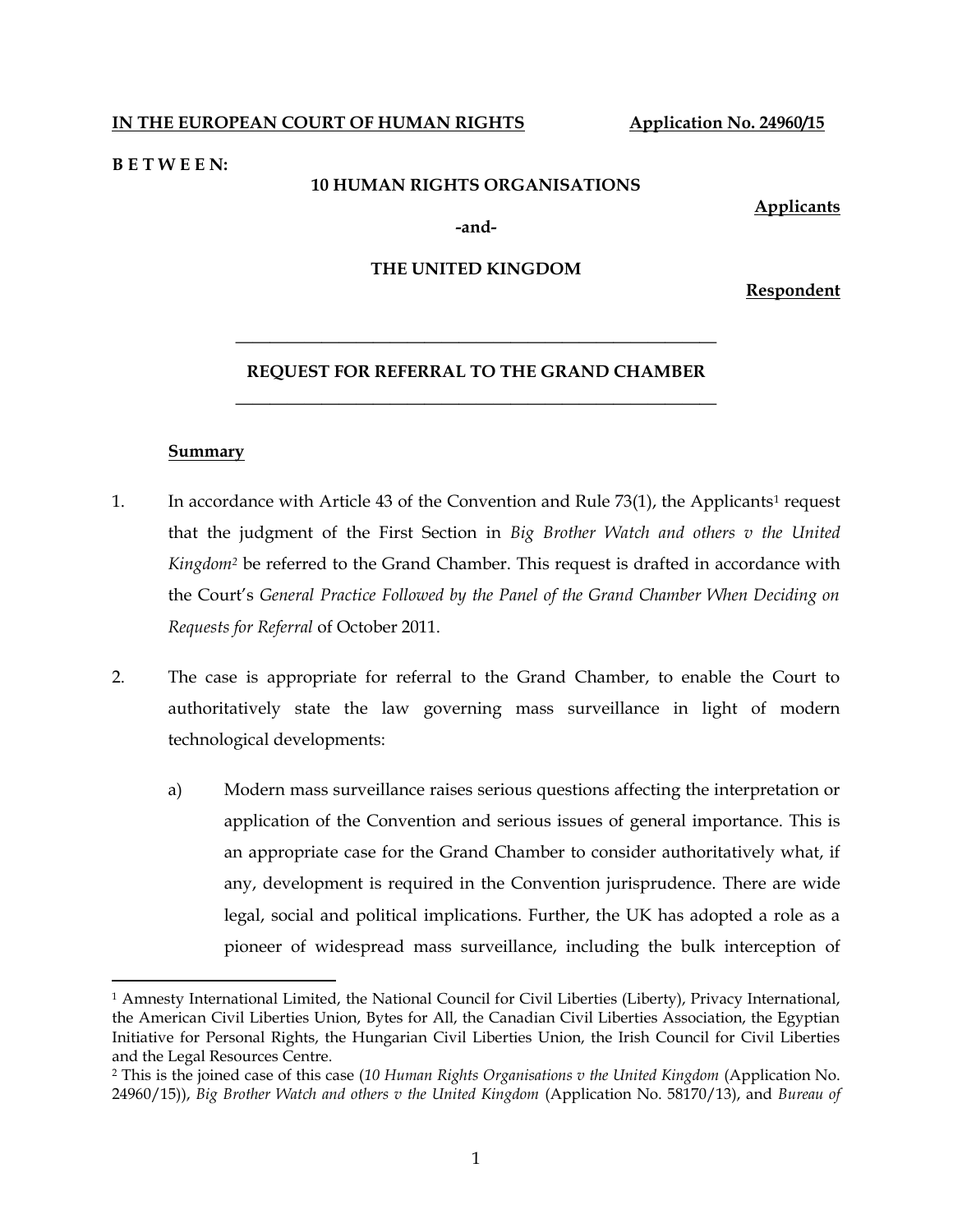### **IN THE EUROPEAN COURT OF HUMAN RIGHTS** Application No. 24960/15

#### **B E T W E E N:**

#### **10 HUMAN RIGHTS ORGANISATIONS**

**Applicants**

**-and-**

#### **THE UNITED KINGDOM**

**Respondent**

# **———————————————————————————— REQUEST FOR REFERRAL TO THE GRAND CHAMBER**

**————————————————————————————**

#### **Summary**

 $\overline{a}$ 

- 1. In accordance with Article 43 of the Convention and Rule 73(1), the Applicants<sup>1</sup> request that the judgment of the First Section in *Big Brother Watch and others v the United Kingdom<sup>2</sup>* be referred to the Grand Chamber. This request is drafted in accordance with the Court's *General Practice Followed by the Panel of the Grand Chamber When Deciding on Requests for Referral* of October 2011.
- 2. The case is appropriate for referral to the Grand Chamber, to enable the Court to authoritatively state the law governing mass surveillance in light of modern technological developments:
	- a) Modern mass surveillance raises serious questions affecting the interpretation or application of the Convention and serious issues of general importance. This is an appropriate case for the Grand Chamber to consider authoritatively what, if any, development is required in the Convention jurisprudence. There are wide legal, social and political implications. Further, the UK has adopted a role as a pioneer of widespread mass surveillance, including the bulk interception of

<sup>1</sup> Amnesty International Limited, the National Council for Civil Liberties (Liberty), Privacy International, the American Civil Liberties Union, Bytes for All, the Canadian Civil Liberties Association, the Egyptian Initiative for Personal Rights, the Hungarian Civil Liberties Union, the Irish Council for Civil Liberties and the Legal Resources Centre.

<sup>2</sup> This is the joined case of this case (*10 Human Rights Organisations v the United Kingdom* (Application No. 24960/15)), *Big Brother Watch and others v the United Kingdom* (Application No. 58170/13), and *Bureau of*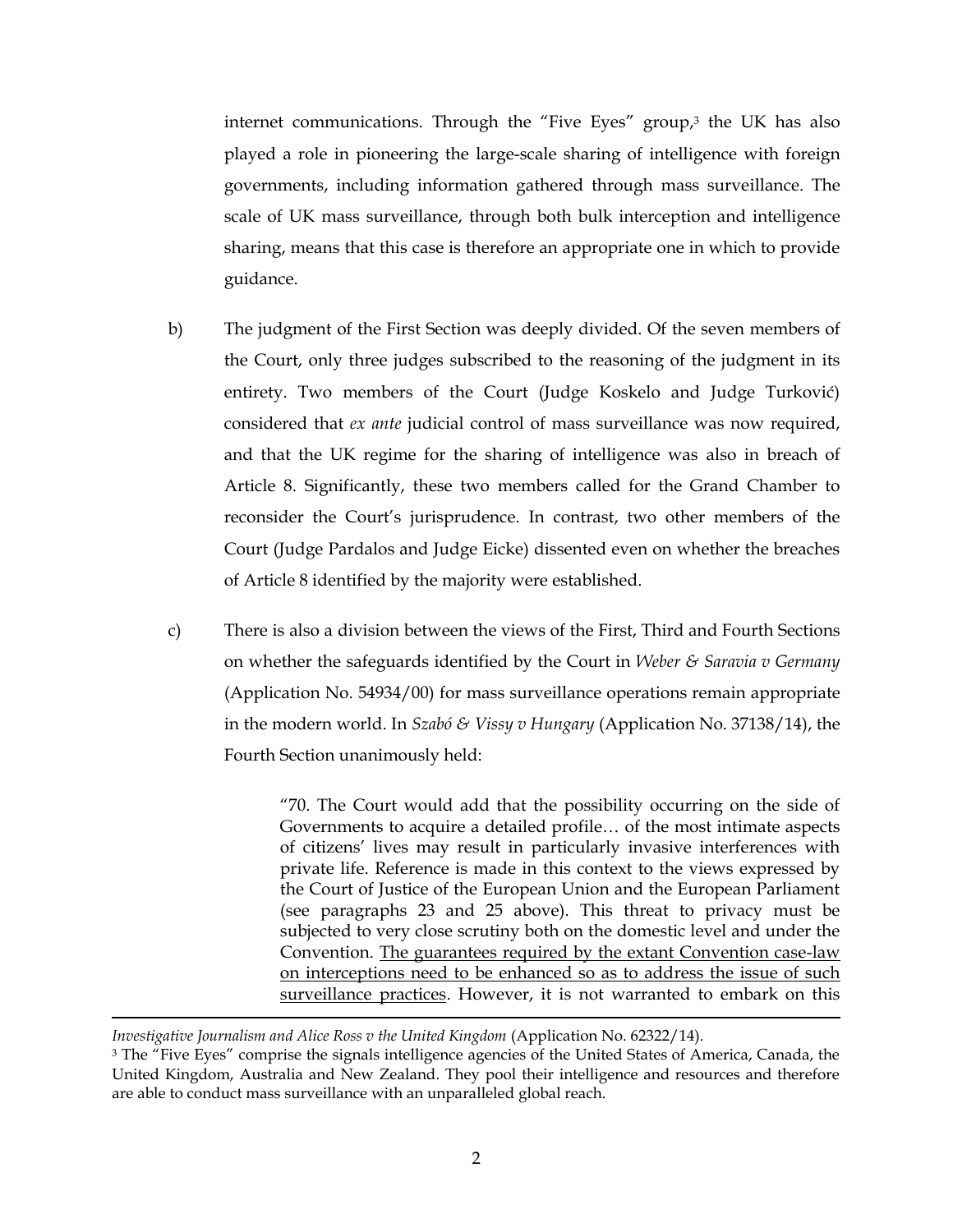internet communications. Through the "Five Eyes" group, <sup>3</sup> the UK has also played a role in pioneering the large-scale sharing of intelligence with foreign governments, including information gathered through mass surveillance. The scale of UK mass surveillance, through both bulk interception and intelligence sharing, means that this case is therefore an appropriate one in which to provide guidance.

- b) The judgment of the First Section was deeply divided. Of the seven members of the Court, only three judges subscribed to the reasoning of the judgment in its entirety. Two members of the Court (Judge Koskelo and Judge Turković) considered that *ex ante* judicial control of mass surveillance was now required, and that the UK regime for the sharing of intelligence was also in breach of Article 8. Significantly, these two members called for the Grand Chamber to reconsider the Court's jurisprudence. In contrast, two other members of the Court (Judge Pardalos and Judge Eicke) dissented even on whether the breaches of Article 8 identified by the majority were established.
- c) There is also a division between the views of the First, Third and Fourth Sections on whether the safeguards identified by the Court in *Weber & Saravia v Germany*  (Application No. 54934/00) for mass surveillance operations remain appropriate in the modern world. In *Szabó & Vissy v Hungary* (Application No. 37138/14), the Fourth Section unanimously held:

"70. The Court would add that the possibility occurring on the side of Governments to acquire a detailed profile… of the most intimate aspects of citizens' lives may result in particularly invasive interferences with private life. Reference is made in this context to the views expressed by the Court of Justice of the European Union and the European Parliament (see paragraphs 23 and 25 above). This threat to privacy must be subjected to very close scrutiny both on the domestic level and under the Convention. The guarantees required by the extant Convention case-law on interceptions need to be enhanced so as to address the issue of such surveillance practices. However, it is not warranted to embark on this

*Investigative Journalism and Alice Ross v the United Kingdom* (Application No. 62322/14).

 $\overline{a}$ 

<sup>3</sup> The "Five Eyes" comprise the signals intelligence agencies of the United States of America, Canada, the United Kingdom, Australia and New Zealand. They pool their intelligence and resources and therefore are able to conduct mass surveillance with an unparalleled global reach.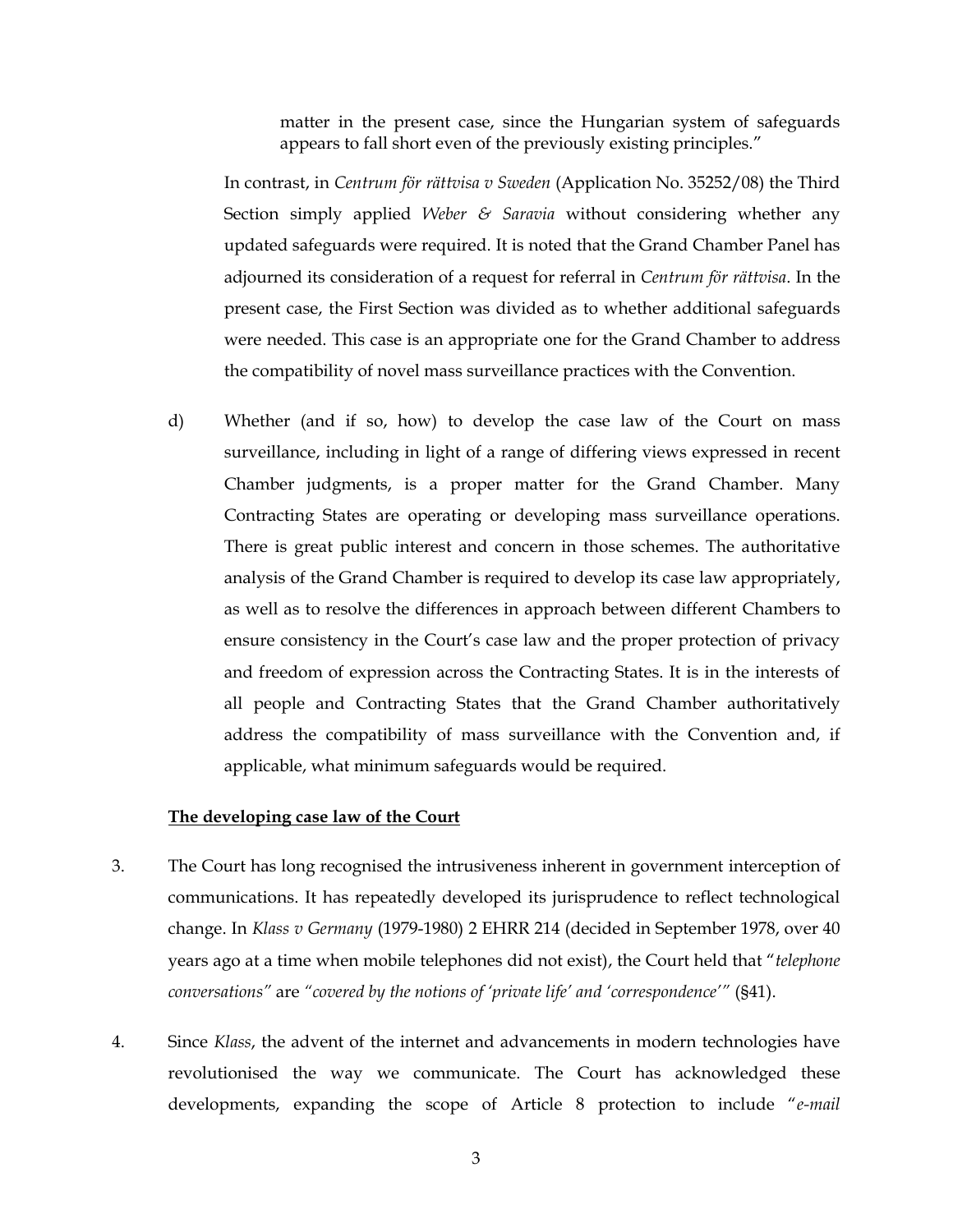matter in the present case, since the Hungarian system of safeguards appears to fall short even of the previously existing principles."

In contrast, in *Centrum för rättvisa v Sweden* (Application No. 35252/08) the Third Section simply applied *Weber & Saravia* without considering whether any updated safeguards were required. It is noted that the Grand Chamber Panel has adjourned its consideration of a request for referral in *Centrum för rättvisa*. In the present case, the First Section was divided as to whether additional safeguards were needed. This case is an appropriate one for the Grand Chamber to address the compatibility of novel mass surveillance practices with the Convention.

d) Whether (and if so, how) to develop the case law of the Court on mass surveillance, including in light of a range of differing views expressed in recent Chamber judgments, is a proper matter for the Grand Chamber. Many Contracting States are operating or developing mass surveillance operations. There is great public interest and concern in those schemes. The authoritative analysis of the Grand Chamber is required to develop its case law appropriately, as well as to resolve the differences in approach between different Chambers to ensure consistency in the Court's case law and the proper protection of privacy and freedom of expression across the Contracting States. It is in the interests of all people and Contracting States that the Grand Chamber authoritatively address the compatibility of mass surveillance with the Convention and, if applicable, what minimum safeguards would be required.

#### **The developing case law of the Court**

- 3. The Court has long recognised the intrusiveness inherent in government interception of communications. It has repeatedly developed its jurisprudence to reflect technological change. In *Klass v Germany* (1979-1980) 2 EHRR 214 (decided in September 1978, over 40 years ago at a time when mobile telephones did not exist), the Court held that "*telephone conversations"* are *"covered by the notions of 'private life' and 'correspondence'"* (§41).
- 4. Since *Klass*, the advent of the internet and advancements in modern technologies have revolutionised the way we communicate. The Court has acknowledged these developments, expanding the scope of Article 8 protection to include "*e-mail*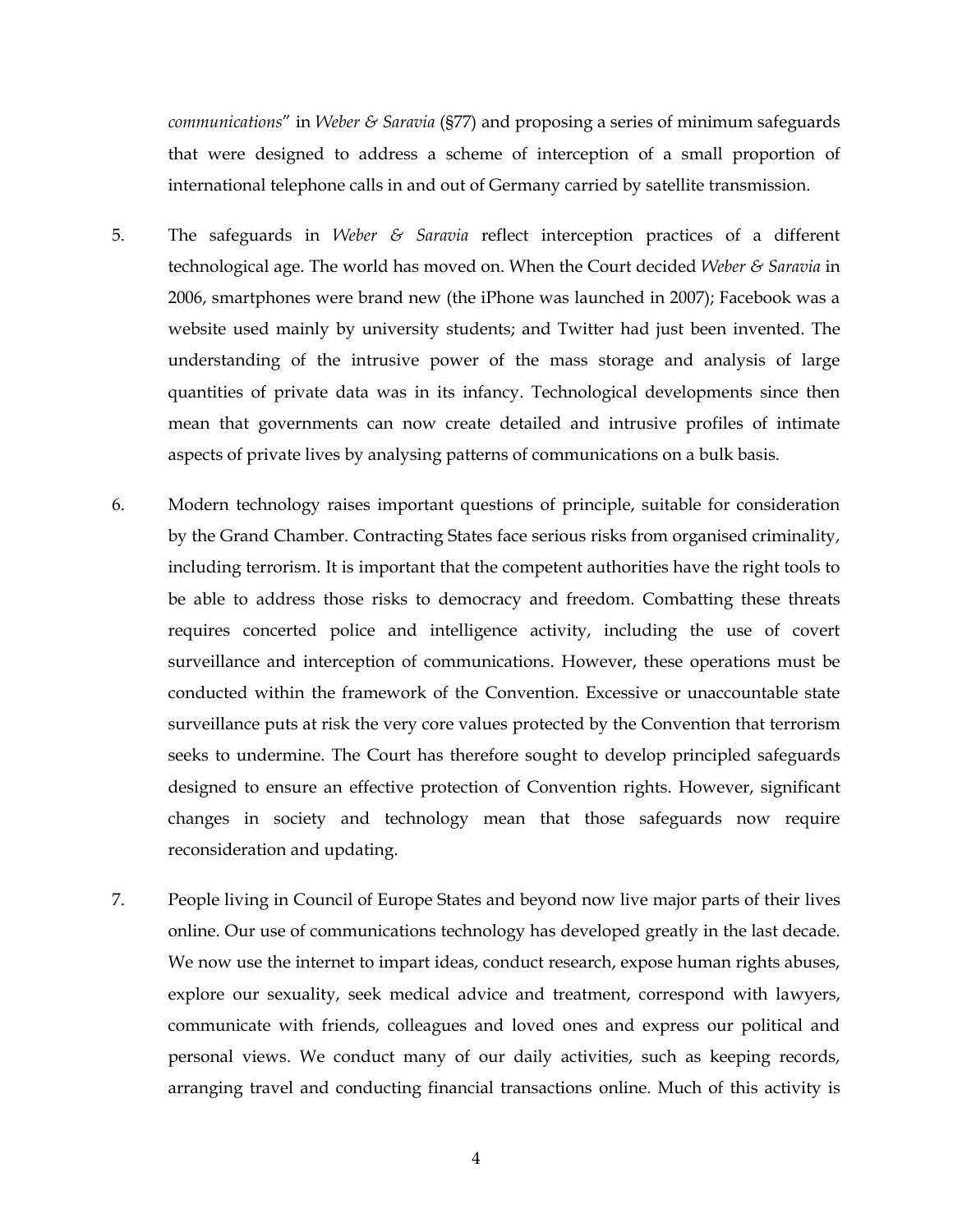*communications*" in *Weber & Saravia* (§77) and proposing a series of minimum safeguards that were designed to address a scheme of interception of a small proportion of international telephone calls in and out of Germany carried by satellite transmission.

- 5. The safeguards in *Weber & Saravia* reflect interception practices of a different technological age. The world has moved on. When the Court decided *Weber & Saravia* in 2006, smartphones were brand new (the iPhone was launched in 2007); Facebook was a website used mainly by university students; and Twitter had just been invented. The understanding of the intrusive power of the mass storage and analysis of large quantities of private data was in its infancy. Technological developments since then mean that governments can now create detailed and intrusive profiles of intimate aspects of private lives by analysing patterns of communications on a bulk basis.
- 6. Modern technology raises important questions of principle, suitable for consideration by the Grand Chamber. Contracting States face serious risks from organised criminality, including terrorism. It is important that the competent authorities have the right tools to be able to address those risks to democracy and freedom. Combatting these threats requires concerted police and intelligence activity, including the use of covert surveillance and interception of communications. However, these operations must be conducted within the framework of the Convention. Excessive or unaccountable state surveillance puts at risk the very core values protected by the Convention that terrorism seeks to undermine. The Court has therefore sought to develop principled safeguards designed to ensure an effective protection of Convention rights. However, significant changes in society and technology mean that those safeguards now require reconsideration and updating.
- 7. People living in Council of Europe States and beyond now live major parts of their lives online. Our use of communications technology has developed greatly in the last decade. We now use the internet to impart ideas, conduct research, expose human rights abuses, explore our sexuality, seek medical advice and treatment, correspond with lawyers, communicate with friends, colleagues and loved ones and express our political and personal views. We conduct many of our daily activities, such as keeping records, arranging travel and conducting financial transactions online. Much of this activity is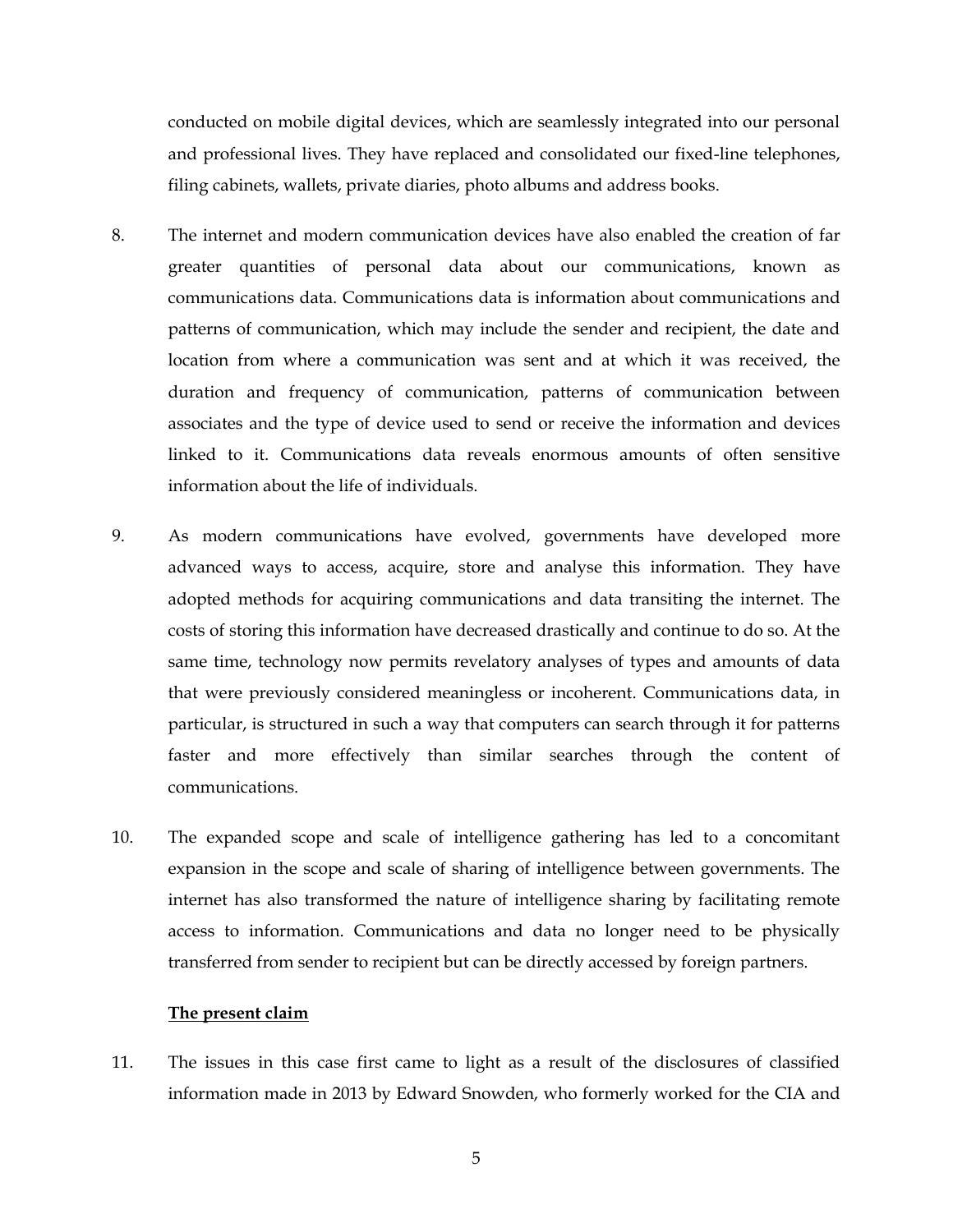conducted on mobile digital devices, which are seamlessly integrated into our personal and professional lives. They have replaced and consolidated our fixed-line telephones, filing cabinets, wallets, private diaries, photo albums and address books.

- 8. The internet and modern communication devices have also enabled the creation of far greater quantities of personal data about our communications, known as communications data. Communications data is information about communications and patterns of communication, which may include the sender and recipient, the date and location from where a communication was sent and at which it was received, the duration and frequency of communication, patterns of communication between associates and the type of device used to send or receive the information and devices linked to it. Communications data reveals enormous amounts of often sensitive information about the life of individuals.
- 9. As modern communications have evolved, governments have developed more advanced ways to access, acquire, store and analyse this information. They have adopted methods for acquiring communications and data transiting the internet. The costs of storing this information have decreased drastically and continue to do so. At the same time, technology now permits revelatory analyses of types and amounts of data that were previously considered meaningless or incoherent. Communications data, in particular, is structured in such a way that computers can search through it for patterns faster and more effectively than similar searches through the content of communications.
- 10. The expanded scope and scale of intelligence gathering has led to a concomitant expansion in the scope and scale of sharing of intelligence between governments. The internet has also transformed the nature of intelligence sharing by facilitating remote access to information. Communications and data no longer need to be physically transferred from sender to recipient but can be directly accessed by foreign partners.

#### **The present claim**

11. The issues in this case first came to light as a result of the disclosures of classified information made in 2013 by Edward Snowden, who formerly worked for the CIA and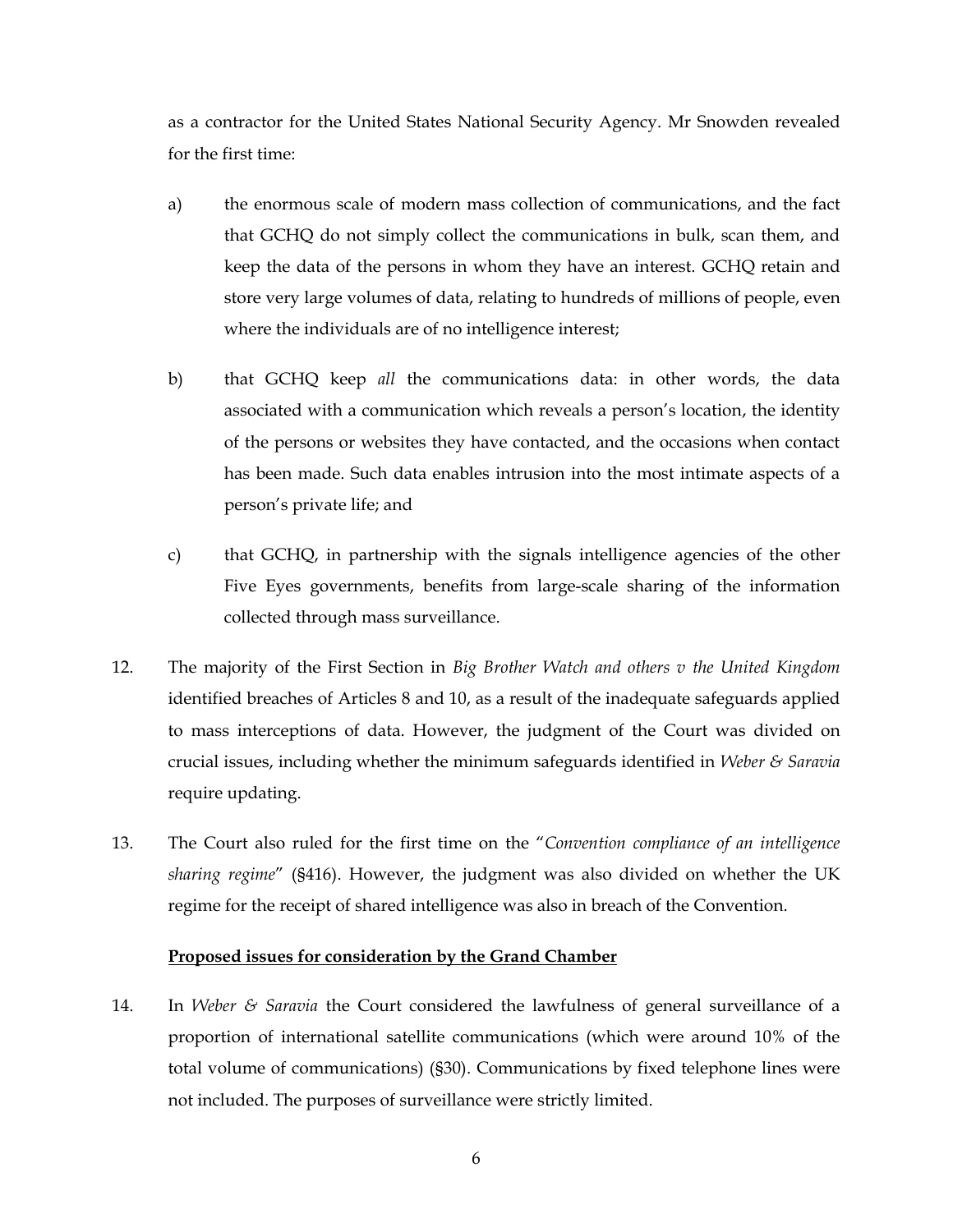as a contractor for the United States National Security Agency. Mr Snowden revealed for the first time:

- a) the enormous scale of modern mass collection of communications, and the fact that GCHQ do not simply collect the communications in bulk, scan them, and keep the data of the persons in whom they have an interest. GCHQ retain and store very large volumes of data, relating to hundreds of millions of people, even where the individuals are of no intelligence interest;
- b) that GCHQ keep *all* the communications data: in other words, the data associated with a communication which reveals a person's location, the identity of the persons or websites they have contacted, and the occasions when contact has been made. Such data enables intrusion into the most intimate aspects of a person's private life; and
- c) that GCHQ, in partnership with the signals intelligence agencies of the other Five Eyes governments, benefits from large-scale sharing of the information collected through mass surveillance.
- 12. The majority of the First Section in *Big Brother Watch and others v the United Kingdom* identified breaches of Articles 8 and 10, as a result of the inadequate safeguards applied to mass interceptions of data. However, the judgment of the Court was divided on crucial issues, including whether the minimum safeguards identified in *Weber & Saravia*  require updating.
- 13. The Court also ruled for the first time on the "*Convention compliance of an intelligence sharing regime*" (§416). However, the judgment was also divided on whether the UK regime for the receipt of shared intelligence was also in breach of the Convention.

#### **Proposed issues for consideration by the Grand Chamber**

14. In *Weber & Saravia* the Court considered the lawfulness of general surveillance of a proportion of international satellite communications (which were around 10% of the total volume of communications) (§30). Communications by fixed telephone lines were not included. The purposes of surveillance were strictly limited.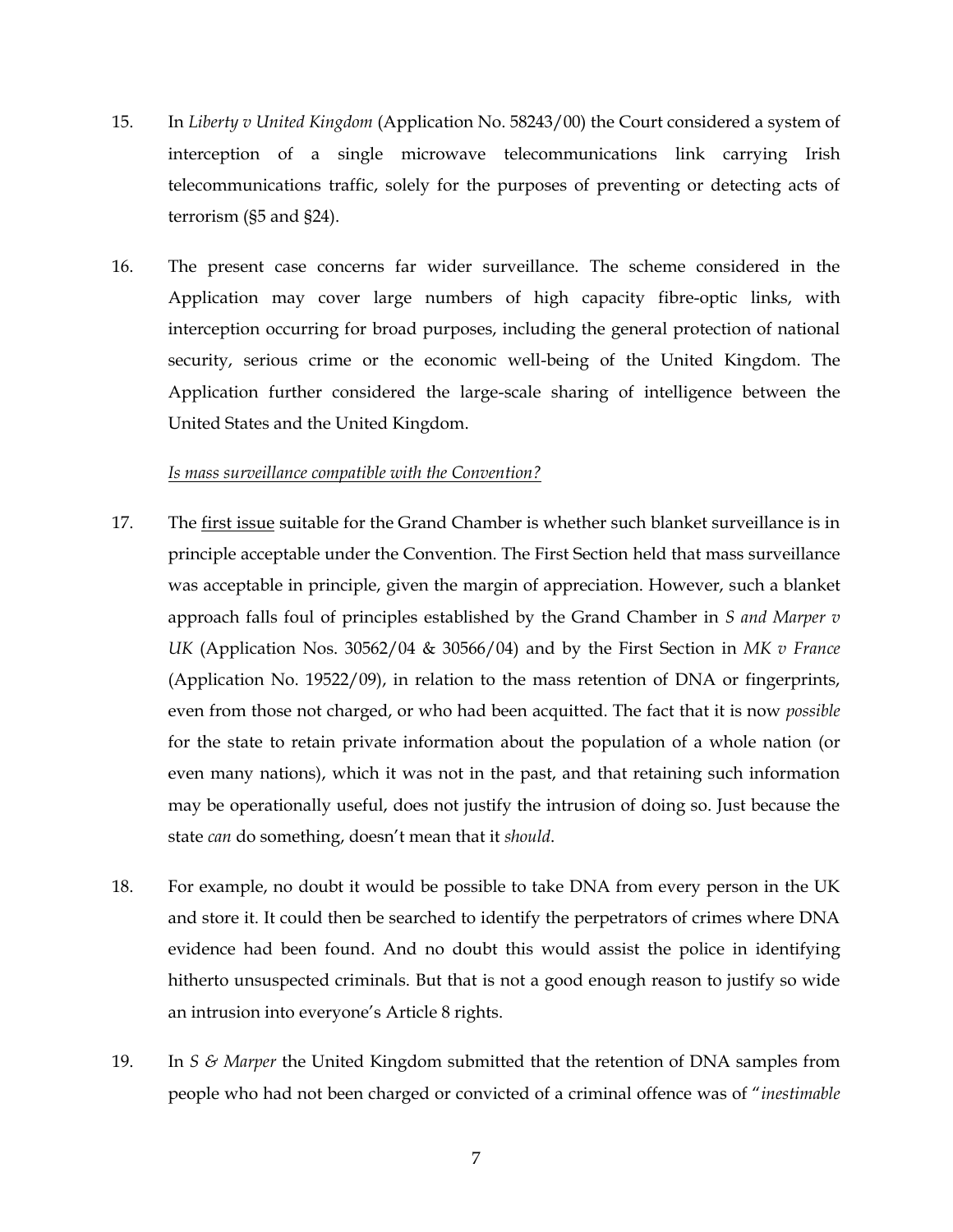- 15. In *Liberty v United Kingdom* (Application No. 58243/00) the Court considered a system of interception of a single microwave telecommunications link carrying Irish telecommunications traffic, solely for the purposes of preventing or detecting acts of terrorism (§5 and §24).
- 16. The present case concerns far wider surveillance. The scheme considered in the Application may cover large numbers of high capacity fibre-optic links, with interception occurring for broad purposes, including the general protection of national security, serious crime or the economic well-being of the United Kingdom. The Application further considered the large-scale sharing of intelligence between the United States and the United Kingdom.

## *Is mass surveillance compatible with the Convention?*

- 17. The first issue suitable for the Grand Chamber is whether such blanket surveillance is in principle acceptable under the Convention. The First Section held that mass surveillance was acceptable in principle, given the margin of appreciation. However, such a blanket approach falls foul of principles established by the Grand Chamber in *S and Marper v UK* (Application Nos. 30562/04 & 30566/04) and by the First Section in *MK v France* (Application No. 19522/09), in relation to the mass retention of DNA or fingerprints, even from those not charged, or who had been acquitted. The fact that it is now *possible* for the state to retain private information about the population of a whole nation (or even many nations), which it was not in the past, and that retaining such information may be operationally useful, does not justify the intrusion of doing so. Just because the state *can* do something, doesn't mean that it *should*.
- 18. For example, no doubt it would be possible to take DNA from every person in the UK and store it. It could then be searched to identify the perpetrators of crimes where DNA evidence had been found. And no doubt this would assist the police in identifying hitherto unsuspected criminals. But that is not a good enough reason to justify so wide an intrusion into everyone's Article 8 rights.
- 19. In *S & Marper* the United Kingdom submitted that the retention of DNA samples from people who had not been charged or convicted of a criminal offence was of "*inestimable*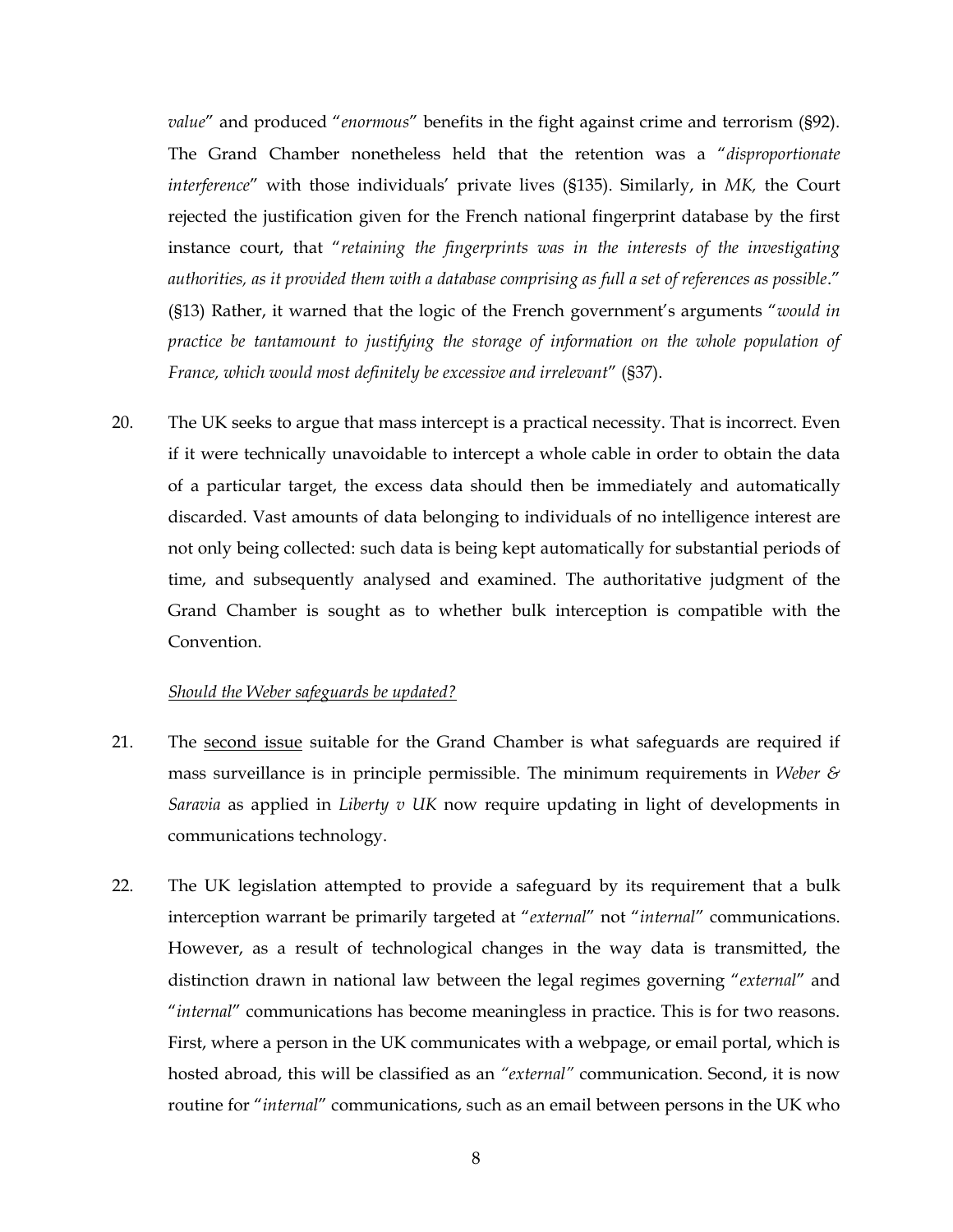*value*" and produced "*enormous*" benefits in the fight against crime and terrorism (§92). The Grand Chamber nonetheless held that the retention was a "*disproportionate interference*" with those individuals' private lives (§135). Similarly, in *MK,* the Court rejected the justification given for the French national fingerprint database by the first instance court, that "*retaining the fingerprints was in the interests of the investigating authorities, as it provided them with a database comprising as full a set of references as possible*." (§13) Rather, it warned that the logic of the French government's arguments "*would in practice be tantamount to justifying the storage of information on the whole population of France, which would most definitely be excessive and irrelevant*" (§37).

20. The UK seeks to argue that mass intercept is a practical necessity. That is incorrect. Even if it were technically unavoidable to intercept a whole cable in order to obtain the data of a particular target, the excess data should then be immediately and automatically discarded. Vast amounts of data belonging to individuals of no intelligence interest are not only being collected: such data is being kept automatically for substantial periods of time, and subsequently analysed and examined. The authoritative judgment of the Grand Chamber is sought as to whether bulk interception is compatible with the Convention.

## *Should the Weber safeguards be updated?*

- 21. The second issue suitable for the Grand Chamber is what safeguards are required if mass surveillance is in principle permissible. The minimum requirements in *Weber & Saravia* as applied in *Liberty v UK* now require updating in light of developments in communications technology.
- 22. The UK legislation attempted to provide a safeguard by its requirement that a bulk interception warrant be primarily targeted at "*external*" not "*internal*" communications. However, as a result of technological changes in the way data is transmitted, the distinction drawn in national law between the legal regimes governing "*external*" and "*internal*" communications has become meaningless in practice. This is for two reasons. First, where a person in the UK communicates with a webpage, or email portal, which is hosted abroad, this will be classified as an *"external"* communication. Second, it is now routine for "*internal*" communications, such as an email between persons in the UK who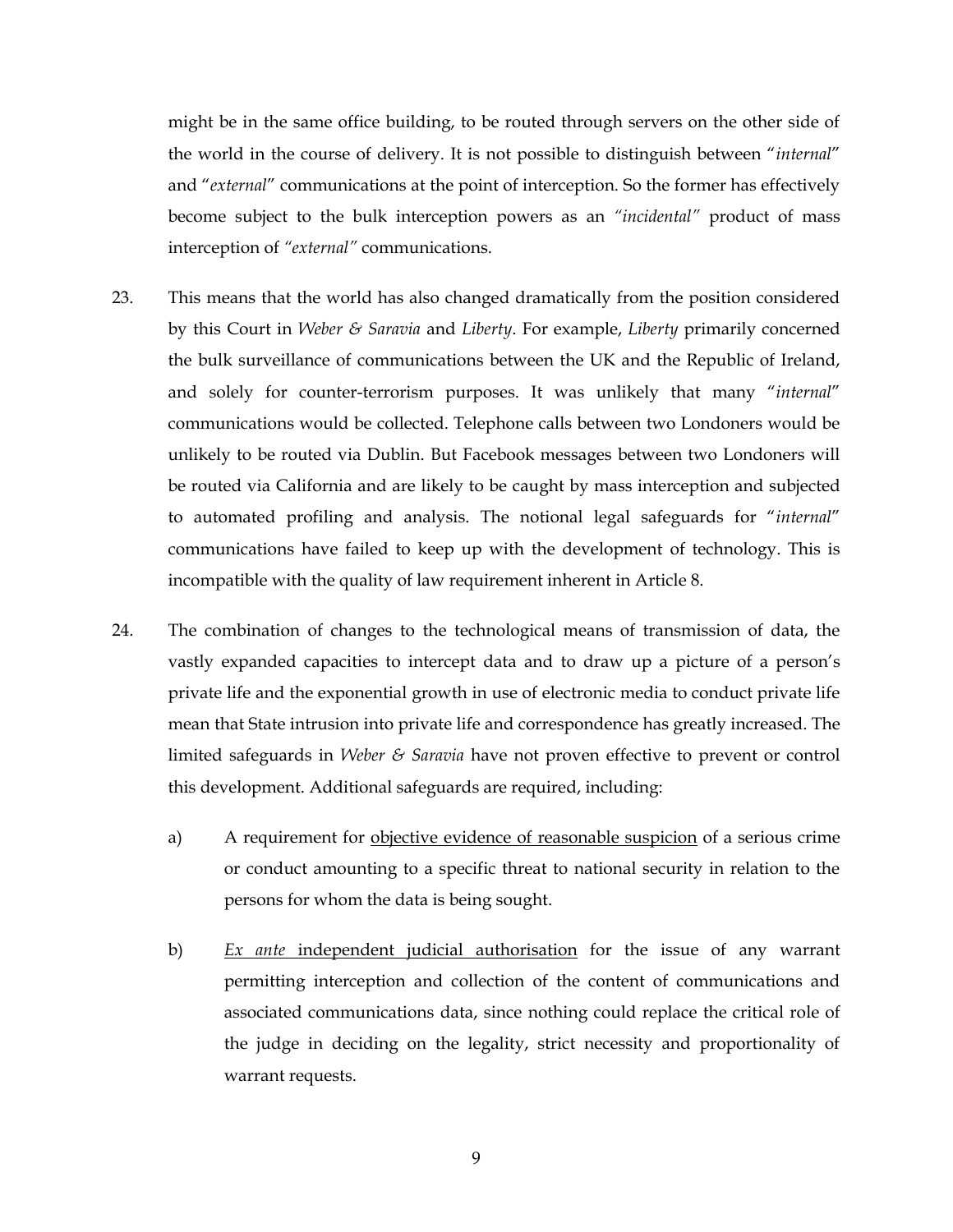might be in the same office building, to be routed through servers on the other side of the world in the course of delivery. It is not possible to distinguish between "*internal*" and "*external*" communications at the point of interception. So the former has effectively become subject to the bulk interception powers as an *"incidental"* product of mass interception of *"external"* communications.

- 23. This means that the world has also changed dramatically from the position considered by this Court in *Weber & Saravia* and *Liberty*. For example, *Liberty* primarily concerned the bulk surveillance of communications between the UK and the Republic of Ireland, and solely for counter-terrorism purposes. It was unlikely that many "*internal*" communications would be collected. Telephone calls between two Londoners would be unlikely to be routed via Dublin. But Facebook messages between two Londoners will be routed via California and are likely to be caught by mass interception and subjected to automated profiling and analysis. The notional legal safeguards for "*internal*" communications have failed to keep up with the development of technology. This is incompatible with the quality of law requirement inherent in Article 8.
- 24. The combination of changes to the technological means of transmission of data, the vastly expanded capacities to intercept data and to draw up a picture of a person's private life and the exponential growth in use of electronic media to conduct private life mean that State intrusion into private life and correspondence has greatly increased. The limited safeguards in *Weber & Saravia* have not proven effective to prevent or control this development. Additional safeguards are required, including:
	- a) A requirement for objective evidence of reasonable suspicion of a serious crime or conduct amounting to a specific threat to national security in relation to the persons for whom the data is being sought.
	- b) *Ex ante* independent judicial authorisation for the issue of any warrant permitting interception and collection of the content of communications and associated communications data, since nothing could replace the critical role of the judge in deciding on the legality, strict necessity and proportionality of warrant requests.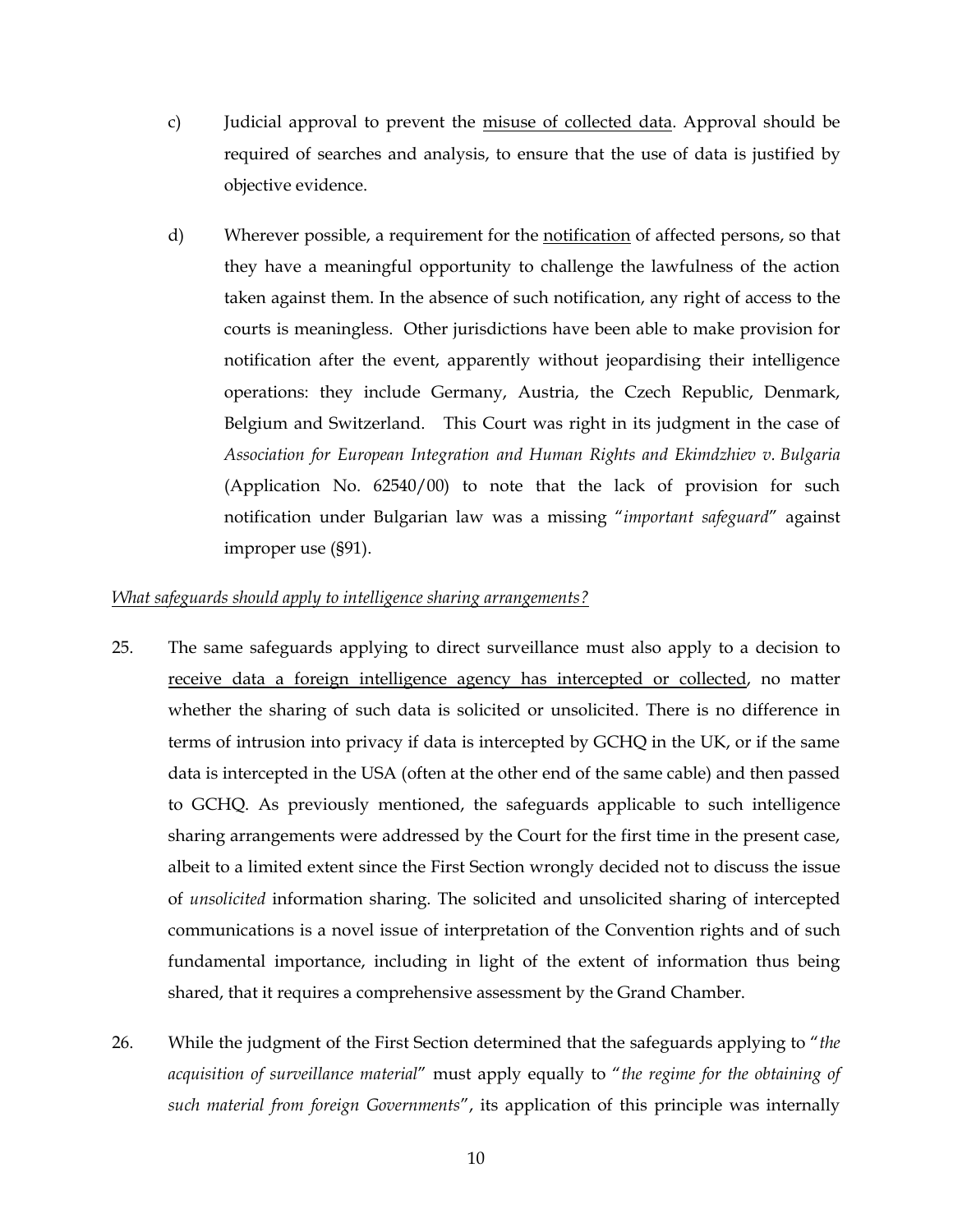- c) Judicial approval to prevent the misuse of collected data. Approval should be required of searches and analysis, to ensure that the use of data is justified by objective evidence.
- d) Wherever possible, a requirement for the notification of affected persons, so that they have a meaningful opportunity to challenge the lawfulness of the action taken against them. In the absence of such notification, any right of access to the courts is meaningless. Other jurisdictions have been able to make provision for notification after the event, apparently without jeopardising their intelligence operations: they include Germany, Austria, the Czech Republic, Denmark, Belgium and Switzerland. This Court was right in its judgment in the case of *Association for European Integration and Human Rights and Ekimdzhiev v. Bulgaria* (Application No. 62540/00) to note that the lack of provision for such notification under Bulgarian law was a missing "*important safeguard*" against improper use (§91).

## *What safeguards should apply to intelligence sharing arrangements?*

- 25. The same safeguards applying to direct surveillance must also apply to a decision to receive data a foreign intelligence agency has intercepted or collected, no matter whether the sharing of such data is solicited or unsolicited. There is no difference in terms of intrusion into privacy if data is intercepted by GCHQ in the UK, or if the same data is intercepted in the USA (often at the other end of the same cable) and then passed to GCHQ. As previously mentioned, the safeguards applicable to such intelligence sharing arrangements were addressed by the Court for the first time in the present case, albeit to a limited extent since the First Section wrongly decided not to discuss the issue of *unsolicited* information sharing. The solicited and unsolicited sharing of intercepted communications is a novel issue of interpretation of the Convention rights and of such fundamental importance, including in light of the extent of information thus being shared, that it requires a comprehensive assessment by the Grand Chamber.
- 26. While the judgment of the First Section determined that the safeguards applying to "*the acquisition of surveillance material*" must apply equally to "*the regime for the obtaining of such material from foreign Governments*", its application of this principle was internally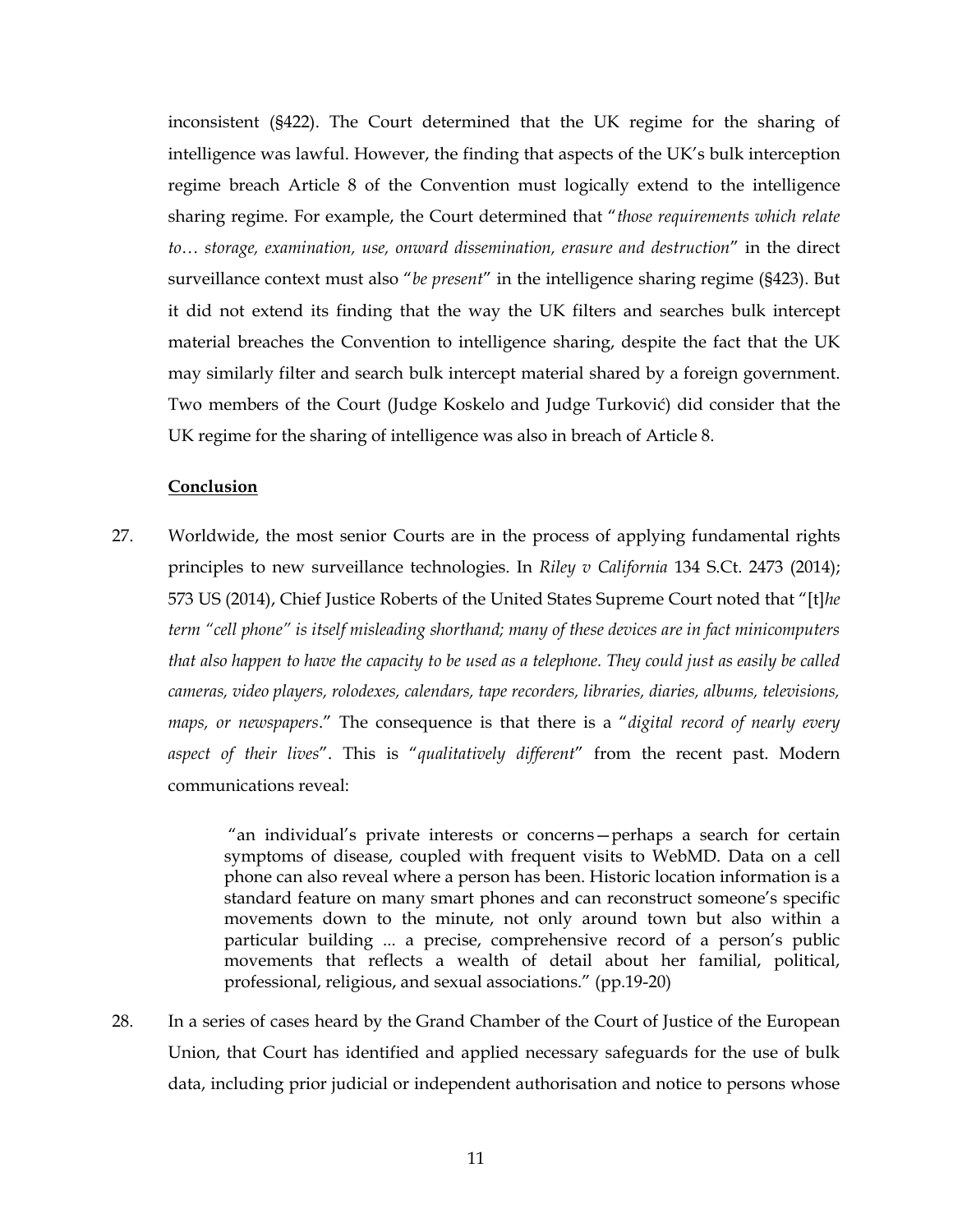inconsistent (§422). The Court determined that the UK regime for the sharing of intelligence was lawful. However, the finding that aspects of the UK's bulk interception regime breach Article 8 of the Convention must logically extend to the intelligence sharing regime. For example, the Court determined that "*those requirements which relate to… storage, examination, use, onward dissemination, erasure and destruction*" in the direct surveillance context must also "*be present*" in the intelligence sharing regime (§423). But it did not extend its finding that the way the UK filters and searches bulk intercept material breaches the Convention to intelligence sharing, despite the fact that the UK may similarly filter and search bulk intercept material shared by a foreign government. Two members of the Court (Judge Koskelo and Judge Turković) did consider that the UK regime for the sharing of intelligence was also in breach of Article 8.

## **Conclusion**

27. Worldwide, the most senior Courts are in the process of applying fundamental rights principles to new surveillance technologies. In *Riley v California* 134 S.Ct. 2473 (2014); 573 US (2014), Chief Justice Roberts of the United States Supreme Court noted that "[t]*he term "cell phone" is itself misleading shorthand; many of these devices are in fact minicomputers that also happen to have the capacity to be used as a telephone. They could just as easily be called cameras, video players, rolodexes, calendars, tape recorders, libraries, diaries, albums, televisions, maps, or newspapers*." The consequence is that there is a "*digital record of nearly every aspect of their lives*". This is "*qualitatively different*" from the recent past. Modern communications reveal:

> "an individual's private interests or concerns—perhaps a search for certain symptoms of disease, coupled with frequent visits to WebMD. Data on a cell phone can also reveal where a person has been. Historic location information is a standard feature on many smart phones and can reconstruct someone's specific movements down to the minute, not only around town but also within a particular building ... a precise, comprehensive record of a person's public movements that reflects a wealth of detail about her familial, political, professional, religious, and sexual associations." (pp.19-20)

28. In a series of cases heard by the Grand Chamber of the Court of Justice of the European Union, that Court has identified and applied necessary safeguards for the use of bulk data, including prior judicial or independent authorisation and notice to persons whose